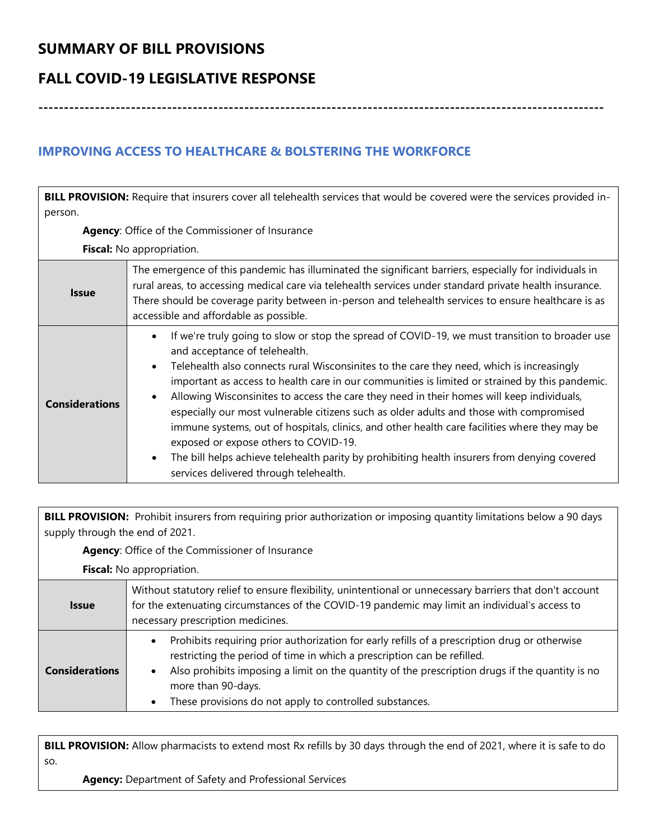# **SUMMARY OF BILL PROVISIONS**

## **FALL COVID-19 LEGISLATIVE RESPONSE**

**--------------------------------------------------------------------------------------------------------------**

### **IMPROVING ACCESS TO HEALTHCARE & BOLSTERING THE WORKFORCE**

**BILL PROVISION:** Require that insurers cover all telehealth services that would be covered were the services provided inperson. **Agency**: Office of the Commissioner of Insurance **Fiscal:** No appropriation. **Issue** The emergence of this pandemic has illuminated the significant barriers, especially for individuals in rural areas, to accessing medical care via telehealth services under standard private health insurance. There should be coverage parity between in-person and telehealth services to ensure healthcare is as accessible and affordable as possible. **Considerations** • If we're truly going to slow or stop the spread of COVID-19, we must transition to broader use and acceptance of telehealth. • Telehealth also connects rural Wisconsinites to the care they need, which is increasingly important as access to health care in our communities is limited or strained by this pandemic. • Allowing Wisconsinites to access the care they need in their homes will keep individuals, especially our most vulnerable citizens such as older adults and those with compromised immune systems, out of hospitals, clinics, and other health care facilities where they may be exposed or expose others to COVID-19. • The bill helps achieve telehealth parity by prohibiting health insurers from denying covered services delivered through telehealth.

**BILL PROVISION:** Prohibit insurers from requiring prior authorization or imposing quantity limitations below a 90 days supply through the end of 2021.

**Agency**: Office of the Commissioner of Insurance

**Fiscal:** No appropriation.

| <b>Issue</b>          | Without statutory relief to ensure flexibility, unintentional or unnecessary barriers that don't account<br>for the extenuating circumstances of the COVID-19 pandemic may limit an individual's access to<br>necessary prescription medicines.                                                                                                              |
|-----------------------|--------------------------------------------------------------------------------------------------------------------------------------------------------------------------------------------------------------------------------------------------------------------------------------------------------------------------------------------------------------|
| <b>Considerations</b> | Prohibits requiring prior authorization for early refills of a prescription drug or otherwise<br>restricting the period of time in which a prescription can be refilled.<br>Also prohibits imposing a limit on the quantity of the prescription drugs if the quantity is no<br>more than 90-days.<br>These provisions do not apply to controlled substances. |

**BILL PROVISION:** Allow pharmacists to extend most Rx refills by 30 days through the end of 2021, where it is safe to do so.

**Agency:** Department of Safety and Professional Services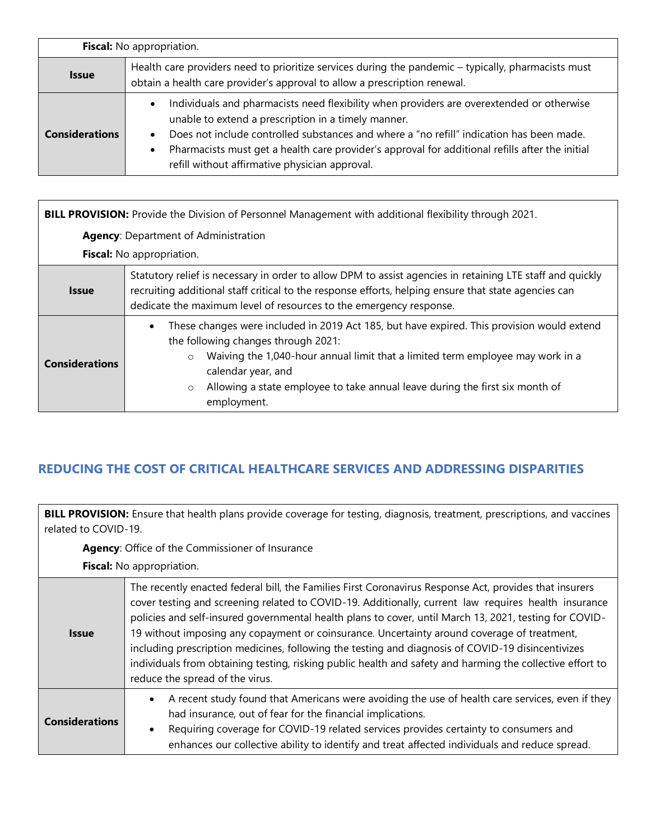| Fiscal: No appropriation. |                                                                                                                                                                                                                                                                                                                                                                                                                             |
|---------------------------|-----------------------------------------------------------------------------------------------------------------------------------------------------------------------------------------------------------------------------------------------------------------------------------------------------------------------------------------------------------------------------------------------------------------------------|
| <b>Issue</b>              | Health care providers need to prioritize services during the pandemic – typically, pharmacists must<br>obtain a health care provider's approval to allow a prescription renewal.                                                                                                                                                                                                                                            |
| <b>Considerations</b>     | Individuals and pharmacists need flexibility when providers are overextended or otherwise<br>$\bullet$<br>unable to extend a prescription in a timely manner.<br>Does not include controlled substances and where a "no refill" indication has been made.<br>$\bullet$<br>Pharmacists must get a health care provider's approval for additional refills after the initial<br>refill without affirmative physician approval. |

| BILL PROVISION: Provide the Division of Personnel Management with additional flexibility through 2021. |                                                                                                                                                                                                                                                                                                                                                                             |
|--------------------------------------------------------------------------------------------------------|-----------------------------------------------------------------------------------------------------------------------------------------------------------------------------------------------------------------------------------------------------------------------------------------------------------------------------------------------------------------------------|
| <b>Agency: Department of Administration</b>                                                            |                                                                                                                                                                                                                                                                                                                                                                             |
| <b>Fiscal:</b> No appropriation.                                                                       |                                                                                                                                                                                                                                                                                                                                                                             |
| <b>Issue</b>                                                                                           | Statutory relief is necessary in order to allow DPM to assist agencies in retaining LTE staff and quickly<br>recruiting additional staff critical to the response efforts, helping ensure that state agencies can<br>dedicate the maximum level of resources to the emergency response.                                                                                     |
| <b>Considerations</b>                                                                                  | These changes were included in 2019 Act 185, but have expired. This provision would extend<br>$\bullet$<br>the following changes through 2021:<br>Waiving the 1,040-hour annual limit that a limited term employee may work in a<br>$\circ$<br>calendar year, and<br>Allowing a state employee to take annual leave during the first six month of<br>$\circ$<br>employment. |

## **REDUCING THE COST OF CRITICAL HEALTHCARE SERVICES AND ADDRESSING DISPARITIES**

**BILL PROVISION:** Ensure that health plans provide coverage for testing, diagnosis, treatment, prescriptions, and vaccines related to COVID-19.

**Agency**: Office of the Commissioner of Insurance

| <b>Issue</b>          | The recently enacted federal bill, the Families First Coronavirus Response Act, provides that insurers<br>cover testing and screening related to COVID-19. Additionally, current law requires health insurance<br>policies and self-insured governmental health plans to cover, until March 13, 2021, testing for COVID-<br>19 without imposing any copayment or coinsurance. Uncertainty around coverage of treatment,<br>including prescription medicines, following the testing and diagnosis of COVID-19 disincentivizes<br>individuals from obtaining testing, risking public health and safety and harming the collective effort to<br>reduce the spread of the virus. |
|-----------------------|------------------------------------------------------------------------------------------------------------------------------------------------------------------------------------------------------------------------------------------------------------------------------------------------------------------------------------------------------------------------------------------------------------------------------------------------------------------------------------------------------------------------------------------------------------------------------------------------------------------------------------------------------------------------------|
| <b>Considerations</b> | A recent study found that Americans were avoiding the use of health care services, even if they<br>$\bullet$<br>had insurance, out of fear for the financial implications.<br>Requiring coverage for COVID-19 related services provides certainty to consumers and<br>$\bullet$<br>enhances our collective ability to identify and treat affected individuals and reduce spread.                                                                                                                                                                                                                                                                                             |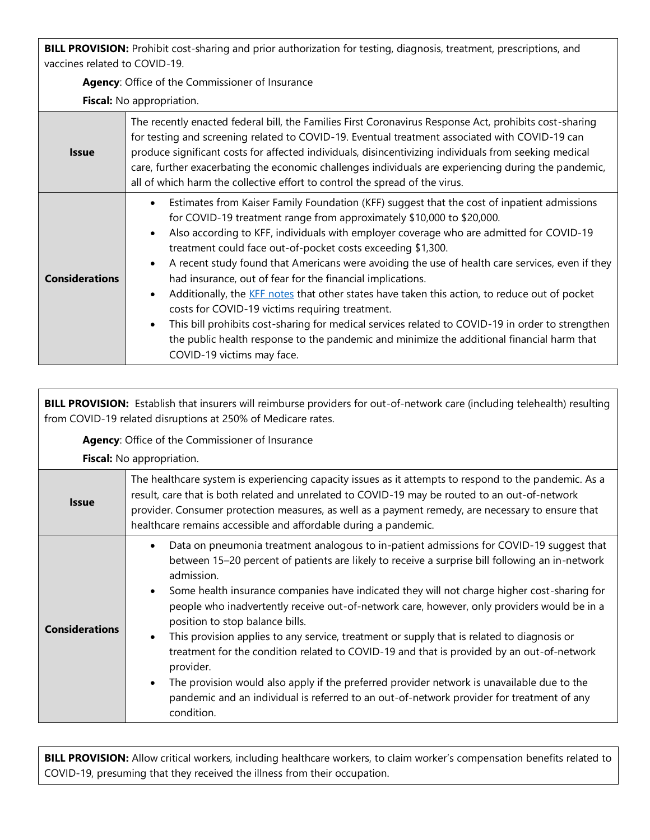**BILL PROVISION:** Prohibit cost-sharing and prior authorization for testing, diagnosis, treatment, prescriptions, and vaccines related to COVID-19.

**Agency**: Office of the Commissioner of Insurance

**Fiscal:** No appropriation.

| <b>Issue</b>          | The recently enacted federal bill, the Families First Coronavirus Response Act, prohibits cost-sharing<br>for testing and screening related to COVID-19. Eventual treatment associated with COVID-19 can<br>produce significant costs for affected individuals, disincentivizing individuals from seeking medical<br>care, further exacerbating the economic challenges individuals are experiencing during the pandemic,<br>all of which harm the collective effort to control the spread of the virus.                                                                                                                                                                                                                                                                                                                                                                                                                   |
|-----------------------|----------------------------------------------------------------------------------------------------------------------------------------------------------------------------------------------------------------------------------------------------------------------------------------------------------------------------------------------------------------------------------------------------------------------------------------------------------------------------------------------------------------------------------------------------------------------------------------------------------------------------------------------------------------------------------------------------------------------------------------------------------------------------------------------------------------------------------------------------------------------------------------------------------------------------|
| <b>Considerations</b> | Estimates from Kaiser Family Foundation (KFF) suggest that the cost of inpatient admissions<br>$\bullet$<br>for COVID-19 treatment range from approximately \$10,000 to \$20,000.<br>Also according to KFF, individuals with employer coverage who are admitted for COVID-19<br>$\bullet$<br>treatment could face out-of-pocket costs exceeding \$1,300.<br>A recent study found that Americans were avoiding the use of health care services, even if they<br>$\bullet$<br>had insurance, out of fear for the financial implications.<br>Additionally, the KFF notes that other states have taken this action, to reduce out of pocket<br>costs for COVID-19 victims requiring treatment.<br>This bill prohibits cost-sharing for medical services related to COVID-19 in order to strengthen<br>the public health response to the pandemic and minimize the additional financial harm that<br>COVID-19 victims may face. |

**BILL PROVISION:** Establish that insurers will reimburse providers for out-of-network care (including telehealth) resulting from COVID-19 related disruptions at 250% of Medicare rates.

**Agency**: Office of the Commissioner of Insurance

**Fiscal:** No appropriation.

| <b>Issue</b>          | The healthcare system is experiencing capacity issues as it attempts to respond to the pandemic. As a<br>result, care that is both related and unrelated to COVID-19 may be routed to an out-of-network<br>provider. Consumer protection measures, as well as a payment remedy, are necessary to ensure that<br>healthcare remains accessible and affordable during a pandemic.                                                                                                                                                                                                                                                                                                                                                                                                                                                                                                       |
|-----------------------|---------------------------------------------------------------------------------------------------------------------------------------------------------------------------------------------------------------------------------------------------------------------------------------------------------------------------------------------------------------------------------------------------------------------------------------------------------------------------------------------------------------------------------------------------------------------------------------------------------------------------------------------------------------------------------------------------------------------------------------------------------------------------------------------------------------------------------------------------------------------------------------|
| <b>Considerations</b> | Data on pneumonia treatment analogous to in-patient admissions for COVID-19 suggest that<br>between 15-20 percent of patients are likely to receive a surprise bill following an in-network<br>admission.<br>Some health insurance companies have indicated they will not charge higher cost-sharing for<br>$\bullet$<br>people who inadvertently receive out-of-network care, however, only providers would be in a<br>position to stop balance bills.<br>This provision applies to any service, treatment or supply that is related to diagnosis or<br>$\bullet$<br>treatment for the condition related to COVID-19 and that is provided by an out-of-network<br>provider.<br>The provision would also apply if the preferred provider network is unavailable due to the<br>pandemic and an individual is referred to an out-of-network provider for treatment of any<br>condition. |

**BILL PROVISION:** Allow critical workers, including healthcare workers, to claim worker's compensation benefits related to COVID-19, presuming that they received the illness from their occupation.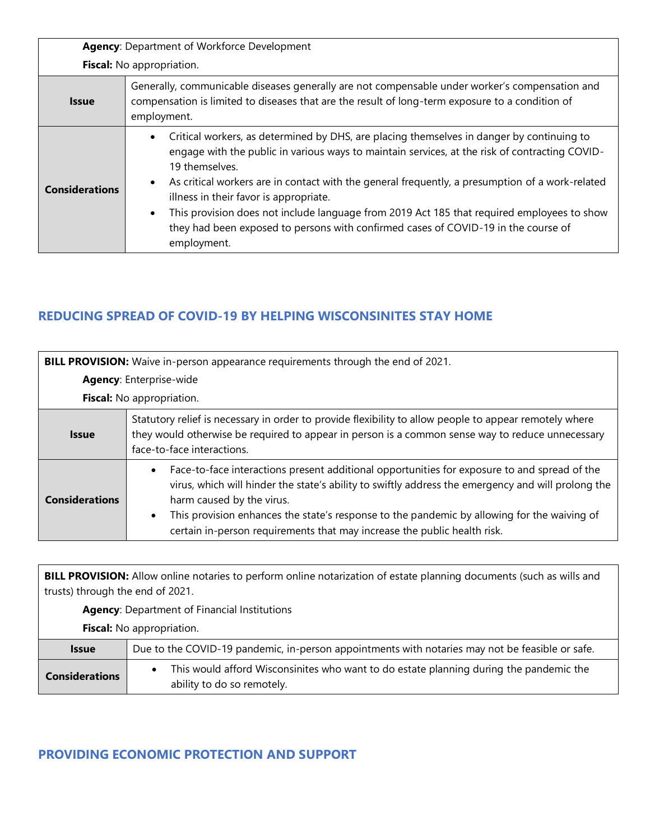| Agency: Department of Workforce Development |                                                                                                                                                                                                                                                                                                                                                                                                                                                                                                                                                               |  |
|---------------------------------------------|---------------------------------------------------------------------------------------------------------------------------------------------------------------------------------------------------------------------------------------------------------------------------------------------------------------------------------------------------------------------------------------------------------------------------------------------------------------------------------------------------------------------------------------------------------------|--|
|                                             | Fiscal: No appropriation.                                                                                                                                                                                                                                                                                                                                                                                                                                                                                                                                     |  |
| <b>Issue</b>                                | Generally, communicable diseases generally are not compensable under worker's compensation and<br>compensation is limited to diseases that are the result of long-term exposure to a condition of<br>employment.                                                                                                                                                                                                                                                                                                                                              |  |
| <b>Considerations</b>                       | Critical workers, as determined by DHS, are placing themselves in danger by continuing to<br>engage with the public in various ways to maintain services, at the risk of contracting COVID-<br>19 themselves.<br>As critical workers are in contact with the general frequently, a presumption of a work-related<br>illness in their favor is appropriate.<br>This provision does not include language from 2019 Act 185 that required employees to show<br>they had been exposed to persons with confirmed cases of COVID-19 in the course of<br>employment. |  |

### **REDUCING SPREAD OF COVID-19 BY HELPING WISCONSINITES STAY HOME**

| BILL PROVISION: Waive in-person appearance requirements through the end of 2021. |                                                                                                                                                                                                                                                                                                                                                                                                                         |
|----------------------------------------------------------------------------------|-------------------------------------------------------------------------------------------------------------------------------------------------------------------------------------------------------------------------------------------------------------------------------------------------------------------------------------------------------------------------------------------------------------------------|
| <b>Agency: Enterprise-wide</b>                                                   |                                                                                                                                                                                                                                                                                                                                                                                                                         |
| <b>Fiscal:</b> No appropriation.                                                 |                                                                                                                                                                                                                                                                                                                                                                                                                         |
| <b>Issue</b>                                                                     | Statutory relief is necessary in order to provide flexibility to allow people to appear remotely where<br>they would otherwise be required to appear in person is a common sense way to reduce unnecessary<br>face-to-face interactions.                                                                                                                                                                                |
| <b>Considerations</b>                                                            | Face-to-face interactions present additional opportunities for exposure to and spread of the<br>virus, which will hinder the state's ability to swiftly address the emergency and will prolong the<br>harm caused by the virus.<br>This provision enhances the state's response to the pandemic by allowing for the waiving of<br>$\bullet$<br>certain in-person requirements that may increase the public health risk. |

**BILL PROVISION:** Allow online notaries to perform online notarization of estate planning documents (such as wills and trusts) through the end of 2021.

**Agency**: Department of Financial Institutions

**Fiscal:** No appropriation.

| <b>Issue</b>          | Due to the COVID-19 pandemic, in-person appointments with notaries may not be feasible or safe.                      |
|-----------------------|----------------------------------------------------------------------------------------------------------------------|
| <b>Considerations</b> | This would afford Wisconsinites who want to do estate planning during the pandemic the<br>ability to do so remotely. |

### **PROVIDING ECONOMIC PROTECTION AND SUPPORT**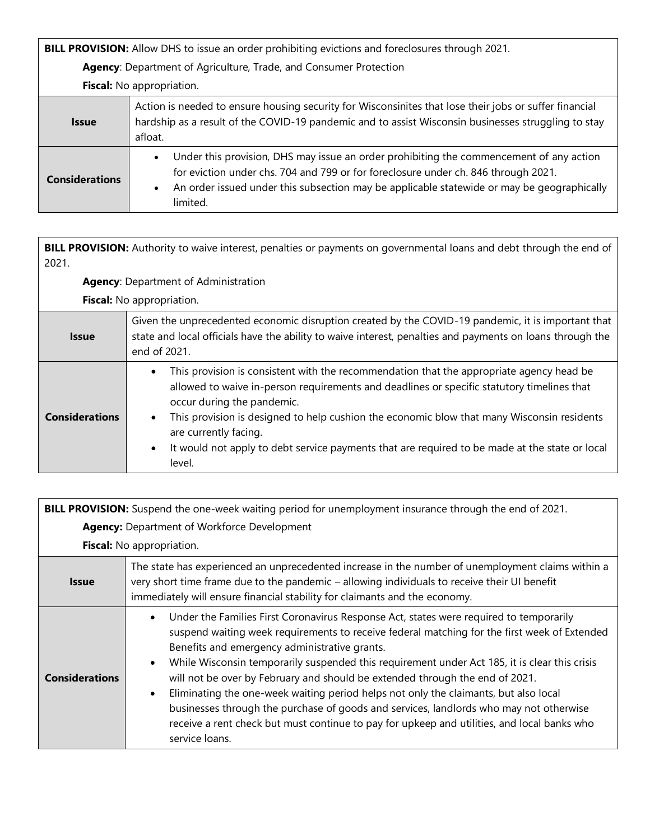**BILL PROVISION:** Allow DHS to issue an order prohibiting evictions and foreclosures through 2021.

**Agency**: Department of Agriculture, Trade, and Consumer Protection

**Fiscal:** No appropriation.

| <b>Issue</b>          | Action is needed to ensure housing security for Wisconsinites that lose their jobs or suffer financial<br>hardship as a result of the COVID-19 pandemic and to assist Wisconsin businesses struggling to stay<br>afloat.                                                                             |
|-----------------------|------------------------------------------------------------------------------------------------------------------------------------------------------------------------------------------------------------------------------------------------------------------------------------------------------|
| <b>Considerations</b> | Under this provision, DHS may issue an order prohibiting the commencement of any action<br>for eviction under chs. 704 and 799 or for foreclosure under ch. 846 through 2021.<br>An order issued under this subsection may be applicable statewide or may be geographically<br>$\bullet$<br>limited. |

**BILL PROVISION:** Authority to waive interest, penalties or payments on governmental loans and debt through the end of 2021.

**Agency**: Department of Administration

| <b>Issue</b>          | Given the unprecedented economic disruption created by the COVID-19 pandemic, it is important that<br>state and local officials have the ability to waive interest, penalties and payments on loans through the<br>end of 2021.                                                                                                                                                                                                                                      |
|-----------------------|----------------------------------------------------------------------------------------------------------------------------------------------------------------------------------------------------------------------------------------------------------------------------------------------------------------------------------------------------------------------------------------------------------------------------------------------------------------------|
| <b>Considerations</b> | This provision is consistent with the recommendation that the appropriate agency head be<br>$\bullet$<br>allowed to waive in-person requirements and deadlines or specific statutory timelines that<br>occur during the pandemic.<br>This provision is designed to help cushion the economic blow that many Wisconsin residents<br>are currently facing.<br>It would not apply to debt service payments that are required to be made at the state or local<br>level. |

| BILL PROVISION: Suspend the one-week waiting period for unemployment insurance through the end of 2021. |                                                                                                                                                                                                                                                                                                                                                                                                                                                                                                                                                                                                                                                                                                                             |
|---------------------------------------------------------------------------------------------------------|-----------------------------------------------------------------------------------------------------------------------------------------------------------------------------------------------------------------------------------------------------------------------------------------------------------------------------------------------------------------------------------------------------------------------------------------------------------------------------------------------------------------------------------------------------------------------------------------------------------------------------------------------------------------------------------------------------------------------------|
|                                                                                                         | <b>Agency: Department of Workforce Development</b>                                                                                                                                                                                                                                                                                                                                                                                                                                                                                                                                                                                                                                                                          |
|                                                                                                         | Fiscal: No appropriation.                                                                                                                                                                                                                                                                                                                                                                                                                                                                                                                                                                                                                                                                                                   |
| <b>Issue</b>                                                                                            | The state has experienced an unprecedented increase in the number of unemployment claims within a<br>very short time frame due to the pandemic - allowing individuals to receive their UI benefit<br>immediately will ensure financial stability for claimants and the economy.                                                                                                                                                                                                                                                                                                                                                                                                                                             |
| <b>Considerations</b>                                                                                   | Under the Families First Coronavirus Response Act, states were required to temporarily<br>suspend waiting week requirements to receive federal matching for the first week of Extended<br>Benefits and emergency administrative grants.<br>While Wisconsin temporarily suspended this requirement under Act 185, it is clear this crisis<br>will not be over by February and should be extended through the end of 2021.<br>Eliminating the one-week waiting period helps not only the claimants, but also local<br>businesses through the purchase of goods and services, landlords who may not otherwise<br>receive a rent check but must continue to pay for upkeep and utilities, and local banks who<br>service loans. |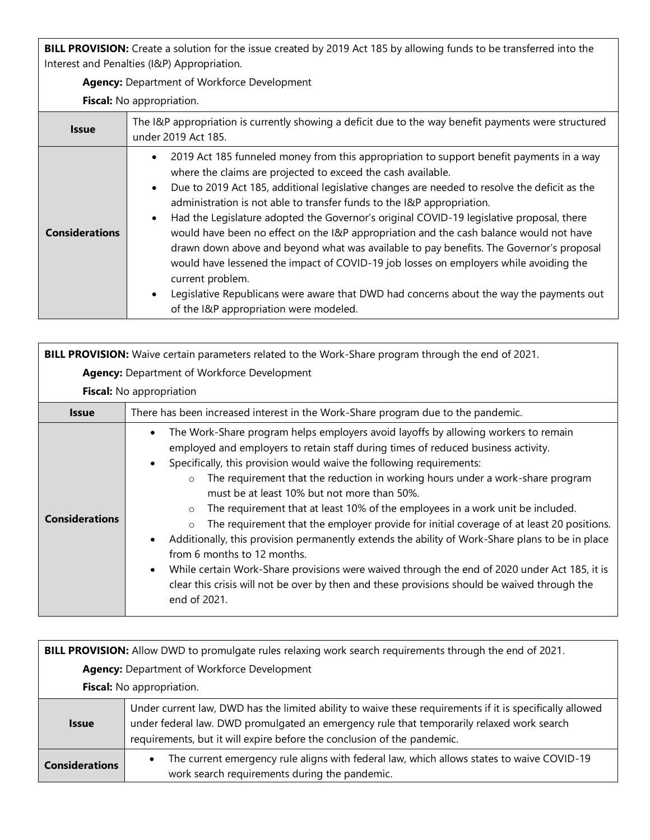**BILL PROVISION:** Create a solution for the issue created by 2019 Act 185 by allowing funds to be transferred into the Interest and Penalties (I&P) Appropriation.

**Agency:** Department of Workforce Development

| <b>Issue</b>          | The I&P appropriation is currently showing a deficit due to the way benefit payments were structured<br>under 2019 Act 185.                                                                                                                                                                                                                                                                                                                                                                                                                                                                                                                                                                                                                                                                                                                                                                                  |
|-----------------------|--------------------------------------------------------------------------------------------------------------------------------------------------------------------------------------------------------------------------------------------------------------------------------------------------------------------------------------------------------------------------------------------------------------------------------------------------------------------------------------------------------------------------------------------------------------------------------------------------------------------------------------------------------------------------------------------------------------------------------------------------------------------------------------------------------------------------------------------------------------------------------------------------------------|
| <b>Considerations</b> | 2019 Act 185 funneled money from this appropriation to support benefit payments in a way<br>where the claims are projected to exceed the cash available.<br>Due to 2019 Act 185, additional legislative changes are needed to resolve the deficit as the<br>$\bullet$<br>administration is not able to transfer funds to the I&P appropriation.<br>Had the Legislature adopted the Governor's original COVID-19 legislative proposal, there<br>$\bullet$<br>would have been no effect on the I&P appropriation and the cash balance would not have<br>drawn down above and beyond what was available to pay benefits. The Governor's proposal<br>would have lessened the impact of COVID-19 job losses on employers while avoiding the<br>current problem.<br>Legislative Republicans were aware that DWD had concerns about the way the payments out<br>$\bullet$<br>of the I&P appropriation were modeled. |

| BILL PROVISION: Waive certain parameters related to the Work-Share program through the end of 2021. |                                                                                                                                                                                                                                                                                                                                                                                                                                                                                                                                                                                                                                                                                                                                                                                                                                                                                                                                                                             |  |  |
|-----------------------------------------------------------------------------------------------------|-----------------------------------------------------------------------------------------------------------------------------------------------------------------------------------------------------------------------------------------------------------------------------------------------------------------------------------------------------------------------------------------------------------------------------------------------------------------------------------------------------------------------------------------------------------------------------------------------------------------------------------------------------------------------------------------------------------------------------------------------------------------------------------------------------------------------------------------------------------------------------------------------------------------------------------------------------------------------------|--|--|
| Agency: Department of Workforce Development                                                         |                                                                                                                                                                                                                                                                                                                                                                                                                                                                                                                                                                                                                                                                                                                                                                                                                                                                                                                                                                             |  |  |
|                                                                                                     | Fiscal: No appropriation                                                                                                                                                                                                                                                                                                                                                                                                                                                                                                                                                                                                                                                                                                                                                                                                                                                                                                                                                    |  |  |
| <b>Issue</b>                                                                                        | There has been increased interest in the Work-Share program due to the pandemic.                                                                                                                                                                                                                                                                                                                                                                                                                                                                                                                                                                                                                                                                                                                                                                                                                                                                                            |  |  |
| <b>Considerations</b>                                                                               | The Work-Share program helps employers avoid layoffs by allowing workers to remain<br>$\bullet$<br>employed and employers to retain staff during times of reduced business activity.<br>Specifically, this provision would waive the following requirements:<br>The requirement that the reduction in working hours under a work-share program<br>$\circ$<br>must be at least 10% but not more than 50%.<br>The requirement that at least 10% of the employees in a work unit be included.<br>$\circ$<br>The requirement that the employer provide for initial coverage of at least 20 positions.<br>$\circ$<br>Additionally, this provision permanently extends the ability of Work-Share plans to be in place<br>from 6 months to 12 months.<br>While certain Work-Share provisions were waived through the end of 2020 under Act 185, it is<br>$\bullet$<br>clear this crisis will not be over by then and these provisions should be waived through the<br>end of 2021. |  |  |

| BILL PROVISION: Allow DWD to promulgate rules relaxing work search requirements through the end of 2021. |                                                                                                                                                                                                                                                                                  |
|----------------------------------------------------------------------------------------------------------|----------------------------------------------------------------------------------------------------------------------------------------------------------------------------------------------------------------------------------------------------------------------------------|
| <b>Agency: Department of Workforce Development</b>                                                       |                                                                                                                                                                                                                                                                                  |
| Fiscal: No appropriation.                                                                                |                                                                                                                                                                                                                                                                                  |
| <b>Issue</b>                                                                                             | Under current law, DWD has the limited ability to waive these requirements if it is specifically allowed<br>under federal law. DWD promulgated an emergency rule that temporarily relaxed work search<br>requirements, but it will expire before the conclusion of the pandemic. |
| <b>Considerations</b>                                                                                    | The current emergency rule aligns with federal law, which allows states to waive COVID-19<br>$\bullet$<br>work search requirements during the pandemic.                                                                                                                          |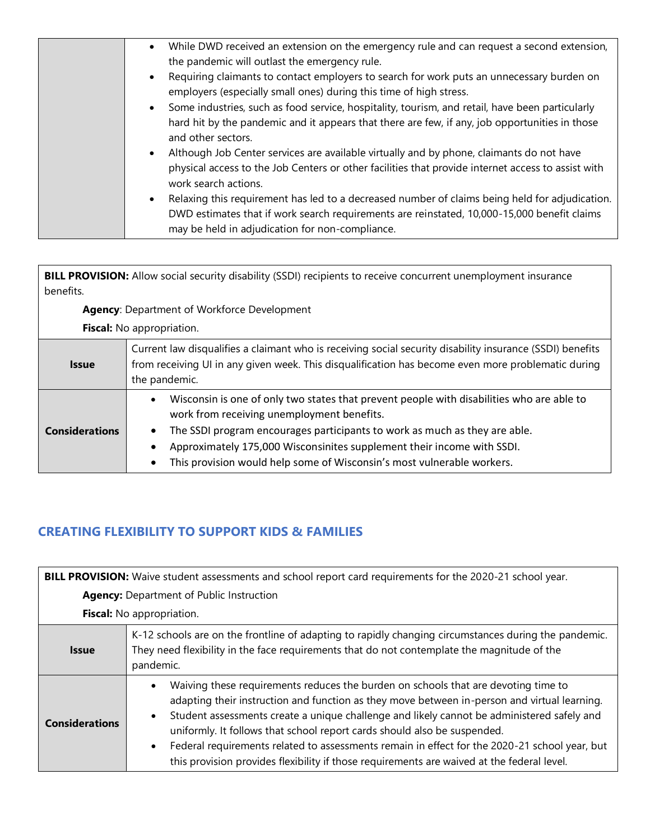|  | While DWD received an extension on the emergency rule and can request a second extension,<br>$\bullet$                     |
|--|----------------------------------------------------------------------------------------------------------------------------|
|  | the pandemic will outlast the emergency rule.                                                                              |
|  | Requiring claimants to contact employers to search for work puts an unnecessary burden on                                  |
|  | employers (especially small ones) during this time of high stress.                                                         |
|  | Some industries, such as food service, hospitality, tourism, and retail, have been particularly                            |
|  | hard hit by the pandemic and it appears that there are few, if any, job opportunities in those<br>and other sectors.       |
|  | Although Job Center services are available virtually and by phone, claimants do not have                                   |
|  | physical access to the Job Centers or other facilities that provide internet access to assist with<br>work search actions. |
|  | Relaxing this requirement has led to a decreased number of claims being held for adjudication.                             |
|  | DWD estimates that if work search requirements are reinstated, 10,000-15,000 benefit claims                                |
|  | may be held in adjudication for non-compliance.                                                                            |
|  |                                                                                                                            |

**BILL PROVISION:** Allow social security disability (SSDI) recipients to receive concurrent unemployment insurance benefits.

**Agency**: Department of Workforce Development

**Fiscal:** No appropriation.

| <b>Issue</b>          | Current law disqualifies a claimant who is receiving social security disability insurance (SSDI) benefits<br>from receiving UI in any given week. This disqualification has become even more problematic during<br>the pandemic.                                                                                                                                          |
|-----------------------|---------------------------------------------------------------------------------------------------------------------------------------------------------------------------------------------------------------------------------------------------------------------------------------------------------------------------------------------------------------------------|
| <b>Considerations</b> | Wisconsin is one of only two states that prevent people with disabilities who are able to<br>work from receiving unemployment benefits.<br>The SSDI program encourages participants to work as much as they are able.<br>Approximately 175,000 Wisconsinites supplement their income with SSDI.<br>This provision would help some of Wisconsin's most vulnerable workers. |

## **CREATING FLEXIBILITY TO SUPPORT KIDS & FAMILIES**

| BILL PROVISION: Waive student assessments and school report card requirements for the 2020-21 school year. |                                                                                                                                                                                                                                                                                                                                                                                                                                                                                                                                                                                       |  |
|------------------------------------------------------------------------------------------------------------|---------------------------------------------------------------------------------------------------------------------------------------------------------------------------------------------------------------------------------------------------------------------------------------------------------------------------------------------------------------------------------------------------------------------------------------------------------------------------------------------------------------------------------------------------------------------------------------|--|
| <b>Agency:</b> Department of Public Instruction                                                            |                                                                                                                                                                                                                                                                                                                                                                                                                                                                                                                                                                                       |  |
| Fiscal: No appropriation.                                                                                  |                                                                                                                                                                                                                                                                                                                                                                                                                                                                                                                                                                                       |  |
| <b>Issue</b>                                                                                               | K-12 schools are on the frontline of adapting to rapidly changing circumstances during the pandemic.<br>They need flexibility in the face requirements that do not contemplate the magnitude of the<br>pandemic.                                                                                                                                                                                                                                                                                                                                                                      |  |
| <b>Considerations</b>                                                                                      | Waiving these requirements reduces the burden on schools that are devoting time to<br>adapting their instruction and function as they move between in-person and virtual learning.<br>Student assessments create a unique challenge and likely cannot be administered safely and<br>$\bullet$<br>uniformly. It follows that school report cards should also be suspended.<br>Federal requirements related to assessments remain in effect for the 2020-21 school year, but<br>$\bullet$<br>this provision provides flexibility if those requirements are waived at the federal level. |  |